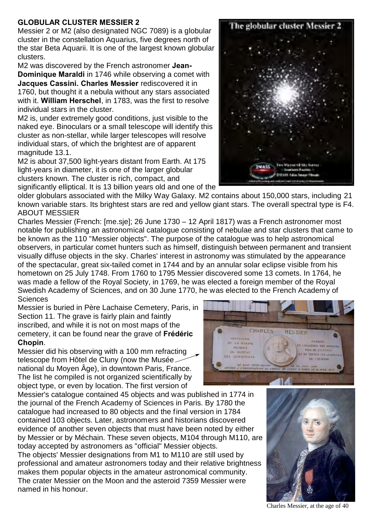## **GLOBULAR CLUSTER MESSIER 2**

Messier 2 or M2 (also designated NGC 7089) is a globular cluster in the constellation Aquarius, five degrees north of the star Beta Aquarii. It is one of the largest known globular clusters.

M2 was discovered by the French astronomer **Jean-Dominique Maraldi** in 1746 while observing a comet with **Jacques Cassini. Charles Messier** rediscovered it in 1760, but thought it a nebula without any stars associated with it. **William Herschel**, in 1783, was the first to resolve individual stars in the cluster.

M2 is, under extremely good conditions, just visible to the naked eye. Binoculars or a small telescope will identify this cluster as non-stellar, while larger telescopes will resolve individual stars, of which the brightest are of apparent magnitude 13.1.

M2 is about 37,500 light-years distant from Earth. At 175 light-years in diameter, it is one of the larger globular clusters known. The cluster is rich, compact, and significantly elliptical. It is 13 billion years old and one of the

older globulars associated with the Milky Way Galaxy. M2 contains about 150,000 stars, including 21 known variable stars. Its brightest stars are red and yellow giant stars. The overall spectral type is F4. ABOUT MESSIER

Charles Messier (French: [me.sje]; 26 June 1730 – 12 April 1817) was a French astronomer most notable for publishing an astronomical catalogue consisting of nebulae and star clusters that came to be known as the 110 "Messier objects". The purpose of the catalogue was to help astronomical observers, in particular comet hunters such as himself, distinguish between permanent and transient visually diffuse objects in the sky. Charles' interest in astronomy was stimulated by the appearance of the spectacular, great six-tailed comet in 1744 and by an annular solar eclipse visible from his hometown on 25 July 1748. From 1760 to 1795 Messier discovered some 13 comets. In 1764, he was made a fellow of the Royal Society, in 1769, he was elected a foreign member of the Royal Swedish Academy of Sciences, and on 30 June 1770, he was elected to the French Academy of **Sciences** 

Messier is buried in Père Lachaise Cemetery, Paris, in Section 11. The grave is fairly plain and faintly inscribed, and while it is not on most maps of the cemetery, it can be found near the grave of **Frédéric Chopin**.

Messier did his observing with a 100 mm refracting telescope from Hôtel de Cluny (now the Musée national du Moyen Âge), in downtown Paris, France. The list he compiled is not organized scientifically by object type, or even by location. The first version of

Messier's catalogue contained 45 objects and was published in 1774 in the journal of the French Academy of Sciences in Paris. By 1780 the catalogue had increased to 80 objects and the final version in 1784 contained 103 objects. Later, astronomers and historians discovered evidence of another seven objects that must have been noted by either by Messier or by Méchain. These seven objects, M104 through M110, are today accepted by astronomers as "official" Messier objects.

The objects' Messier designations from M1 to M110 are still used by professional and amateur astronomers today and their relative brightness makes them popular objects in the amateur astronomical community. The crater Messier on the Moon and the asteroid 7359 Messier were named in his honour.

Charles Messier, at the age of 40